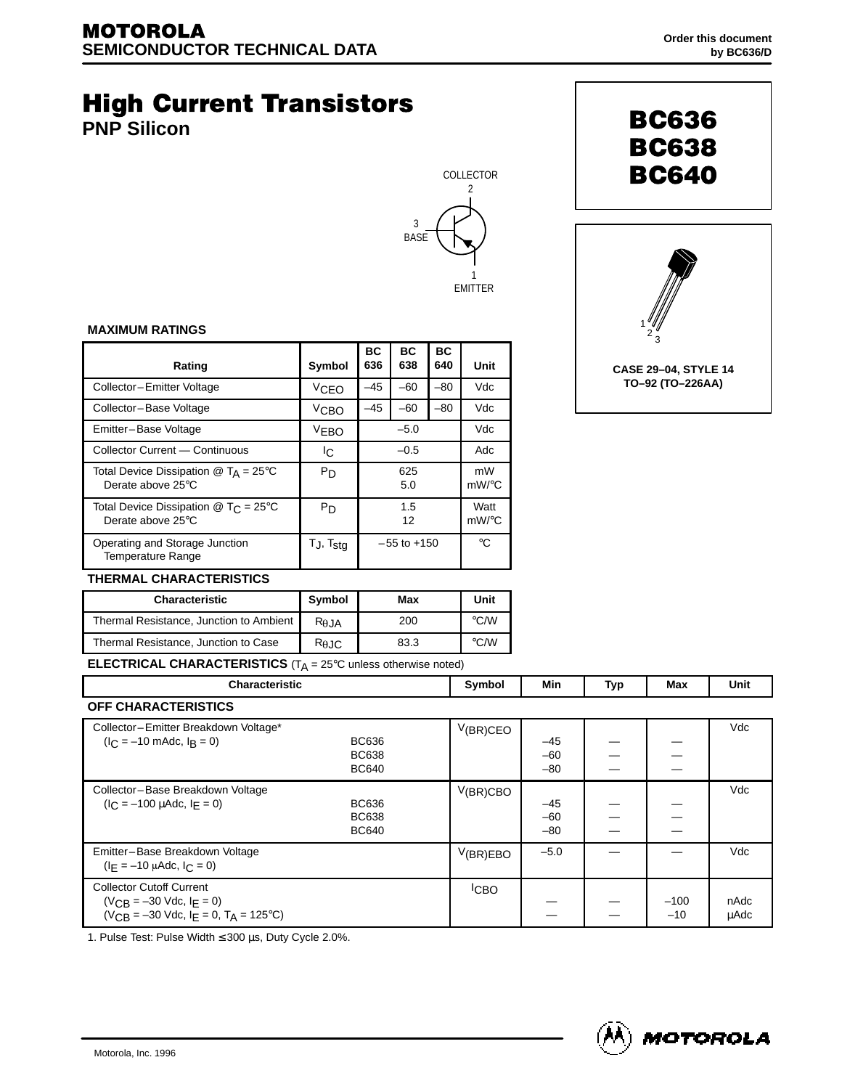# **High Current Transistors**

**PNP Silicon**





**BC636 BC638** 

**BC640** 

### **MAXIMUM RATINGS**

| Rating                                                                                | Symbol                   | ВC<br>636       | <b>BC</b><br>638 | <b>BC</b><br>640 | Unit                     |
|---------------------------------------------------------------------------------------|--------------------------|-----------------|------------------|------------------|--------------------------|
| Collector-Emitter Voltage                                                             | VCEO                     | $-45$           | $-60$            | $-80$            | Vdc                      |
| Collector-Base Voltage                                                                | V <sub>CBO</sub>         | $-45$           | $-60$            | $-80$            | Vdc                      |
| Emitter-Base Voltage                                                                  | <b>VEBO</b>              | $-5.0$          |                  |                  | Vdc                      |
| Collector Current - Continuous                                                        | Iс                       | $-0.5$          |                  |                  | Adc                      |
| Total Device Dissipation $\textcircled{a}$ T <sub>A</sub> = 25°C<br>Derate above 25°C | P <sub>D</sub>           | 625<br>5.0      |                  |                  | mW<br>$mW$ / $\degree$ C |
| Total Device Dissipation $@$ T <sub>C</sub> = 25°C<br>Derate above 25°C               | P <sub>D</sub>           | 1.5<br>12       |                  |                  | Watt<br>$mW$ /°C         |
| Operating and Storage Junction<br>Temperature Range                                   | $T_J$ , $T_{\text{stg}}$ | $-55$ to $+150$ |                  |                  | $^{\circ}C$              |

# **THERMAL CHARACTERISTICS**

| <b>Characteristic</b>                   | <b>Symbol</b>  | Max  | Unit               |
|-----------------------------------------|----------------|------|--------------------|
| Thermal Resistance, Junction to Ambient | $R_{\theta$ JA | 200  | $\rm ^{\circ}$ C/W |
| Thermal Resistance, Junction to Case    | $R_{\theta$ JC | 83.3 | $\rm ^{\circ}$ C/W |

**ELECTRICAL CHARACTERISTICS** (T<sub>A</sub> = 25°C unless otherwise noted)

| <b>Characteristic</b>                                                                                                   |                                              | Symbol           | Min                     | Typ | Max             | Unit                |
|-------------------------------------------------------------------------------------------------------------------------|----------------------------------------------|------------------|-------------------------|-----|-----------------|---------------------|
| <b>OFF CHARACTERISTICS</b>                                                                                              |                                              |                  |                         |     |                 |                     |
| Collector-Emitter Breakdown Voltage*<br>$(I_C = -10 \text{ m}$ Adc, $I_B = 0$ )                                         | BC636<br><b>BC638</b><br><b>BC640</b>        | $V(BR)$ CEO      | $-45$<br>$-60$<br>$-80$ |     |                 | Vdc                 |
| Collector-Base Breakdown Voltage<br>$(I_C = -100 \mu A d c, I_F = 0)$                                                   | <b>BC636</b><br><b>BC638</b><br><b>BC640</b> | $V(BR)$ CBO      | $-45$<br>$-60$<br>$-80$ |     |                 | Vdc                 |
| Emitter-Base Breakdown Voltage<br>$(I_F = -10 \mu A dc, I_C = 0)$                                                       |                                              | V(BR)EBO         | $-5.0$                  |     |                 | Vdc                 |
| <b>Collector Cutoff Current</b><br>$(V_{CR} = -30$ Vdc, $I_F = 0$ )<br>$(V_{CR} = -30$ Vdc, $I_F = 0$ , $T_A = 125$ °C) |                                              | <sup>I</sup> CBO |                         |     | $-100$<br>$-10$ | nAdc<br><b>µAdc</b> |

1. Pulse Test: Pulse Width ≤ 300 µs, Duty Cycle 2.0%.

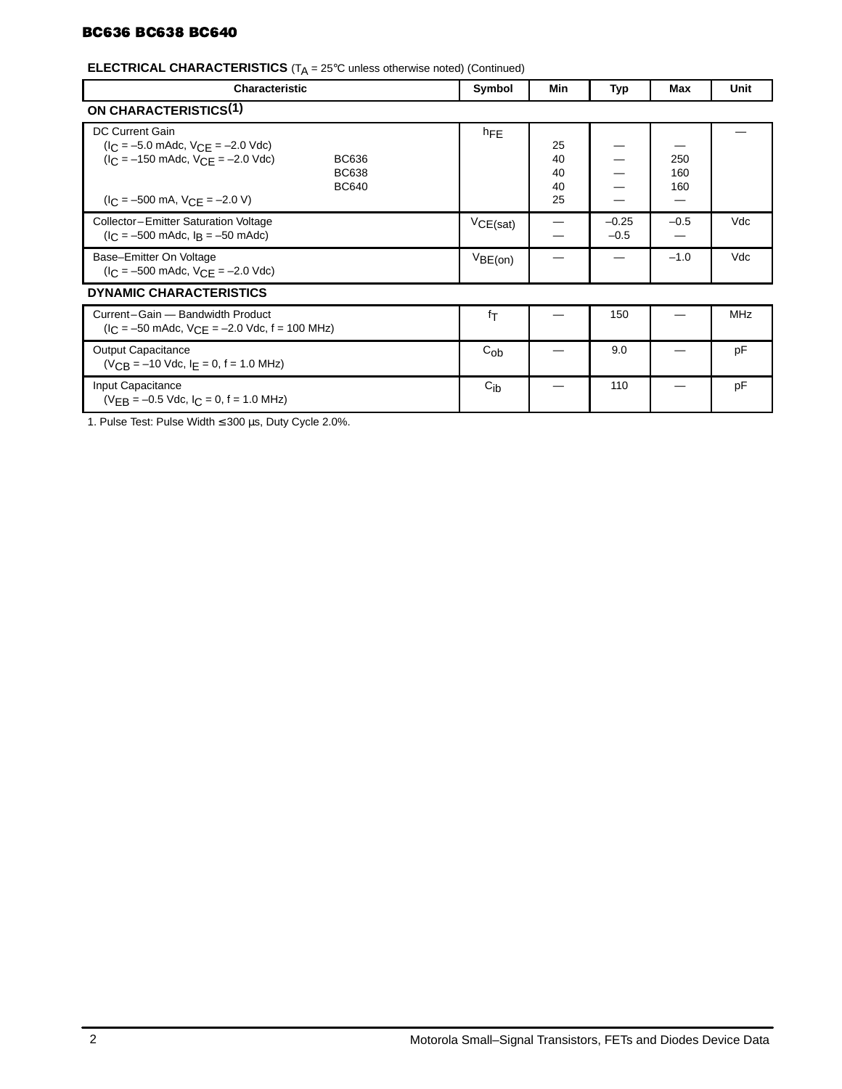# **BC636 BC638 BC640**

# **ELECTRICAL CHARACTERISTICS** (T<sub>A</sub> = 25°C unless otherwise noted) (Continued)

| <b>Characteristic</b>                                                                                                                                                                                | Symbol          | Min                        | Typ               | Max               | Unit       |  |
|------------------------------------------------------------------------------------------------------------------------------------------------------------------------------------------------------|-----------------|----------------------------|-------------------|-------------------|------------|--|
| <b>ON CHARACTERISTICS(1)</b>                                                                                                                                                                         |                 |                            |                   |                   |            |  |
| <b>DC Current Gain</b><br>$(I_C = -5.0$ mAdc, $V_{CE} = -2.0$ Vdc)<br>$I_C = -150$ mAdc, $V_{C}F = -2.0$ Vdc)<br><b>BC636</b><br><b>BC638</b><br><b>BC640</b><br>$I_C = -500$ mA, $V_{CF} = -2.0$ V) | hFE             | 25<br>40<br>40<br>40<br>25 |                   | 250<br>160<br>160 |            |  |
| Collector-Emitter Saturation Voltage<br>$I_C = -500$ mAdc, $I_R = -50$ mAdc)                                                                                                                         | VCE(sat)        |                            | $-0.25$<br>$-0.5$ | $-0.5$            | Vdc        |  |
| Base-Emitter On Voltage<br>$(I_C = -500 \text{ m}$ Adc, $V_{CE} = -2.0 \text{ V}$ dc)                                                                                                                | VBE(on)         |                            |                   | $-1.0$            | Vdc        |  |
| <b>DYNAMIC CHARACTERISTICS</b>                                                                                                                                                                       |                 |                            |                   |                   |            |  |
| Current-Gain - Bandwidth Product<br>$(I_C = -50 \text{ m}$ Adc, $V_{C,F} = -2.0 \text{ V}$ dc, f = 100 MHz)                                                                                          | fτ              |                            | 150               |                   | <b>MHz</b> |  |
| Output Capacitance<br>$(V_{CR} = -10$ Vdc, $I_F = 0$ , $f = 1.0$ MHz)                                                                                                                                | $C_{ob}$        |                            | 9.0               |                   | pF         |  |
| Input Capacitance<br>$(VFR = -0.5$ Vdc, $C = 0$ , $f = 1.0$ MHz)                                                                                                                                     | $C_{\text{ib}}$ |                            | 110               |                   | pF         |  |

1. Pulse Test: Pulse Width ≤ 300 µs, Duty Cycle 2.0%.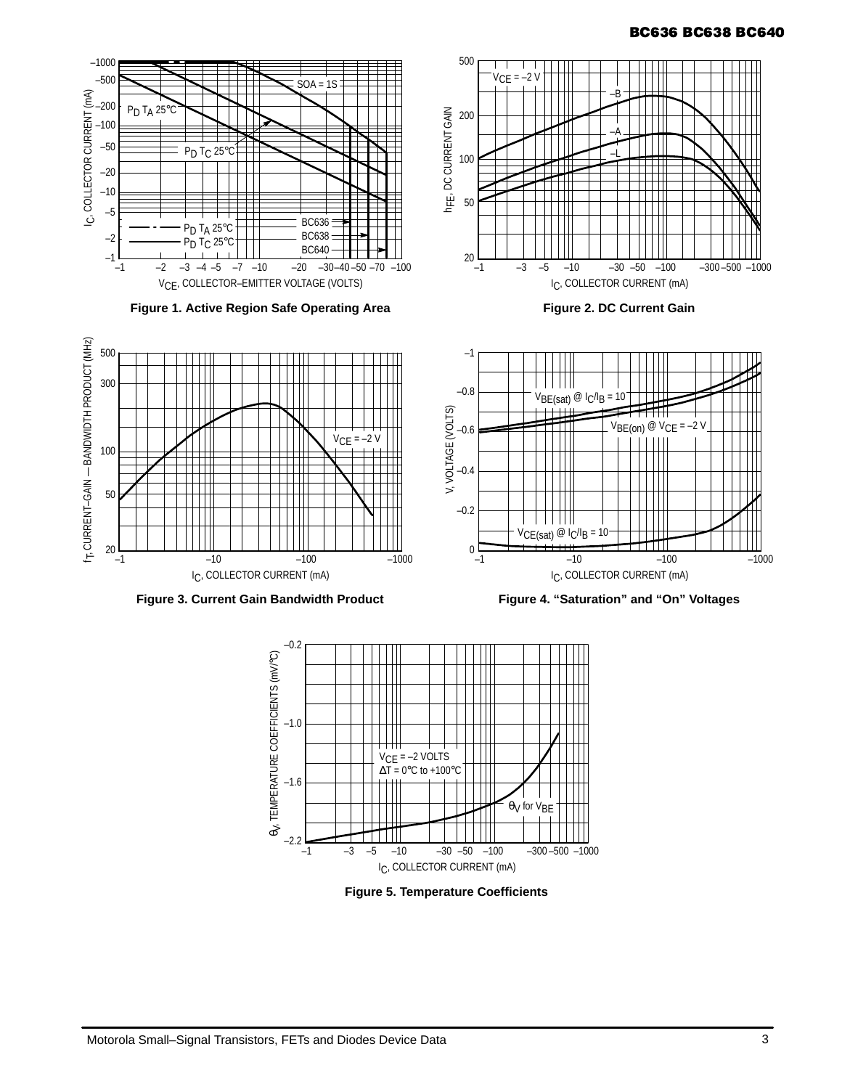# **BC636 BC638 BC640**





**Figure 5. Temperature Coefficients**